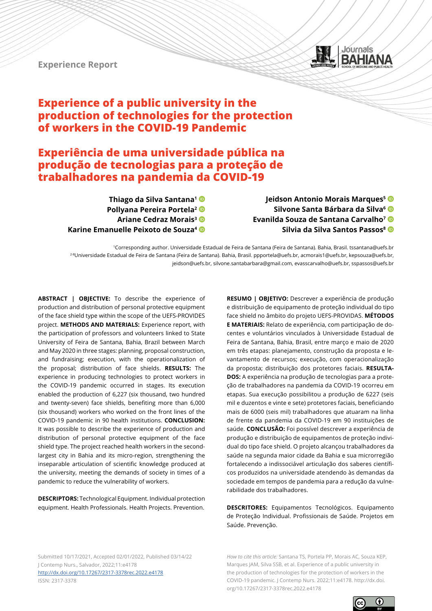**Experience Report**



# **Experience of a public university in the production of technologies for the protection of workers in the COVID-19 Pandemic**

# **Experiência de uma universidade pública na produção de tecnologias para a proteção de trabalhadores na pandemia da COVID-19**

**Thiago da Silva Santana1 Pollyana Pereira Portela2 Ariane Cedraz Morais3 Karine Emanuelle Peixoto de Souza4**

**Jeidson Antonio Morais Marques5 Silvone Santa Bárbara da Silva6 Evanilda Souza de Santana Carvalho7 Silvia da Silva Santos Passos8**

1Corresponding author. Universidade Estadual de Feira de Santana (Feira de Santana). Bahia, Brasil. tssantana@uefs.br 2-8Universidade Estadual de Feira de Santana (Feira de Santana). Bahia, Brasil. ppportela@uefs.br, acmorais1@uefs.br, kepsouza@uefs.br, jeidson@uefs.br, silvone.santabarbara@gmail.com, evasscarvalho@uefs.br, sspassos@uefs.br

**ABSTRACT | OBJECTIVE:** To describe the experience of production and distribution of personal protective equipment of the face shield type within the scope of the UEFS-PROVIDES project. **METHODS AND MATERIALS:** Experience report, with the participation of professors and volunteers linked to State University of Feira de Santana, Bahia, Brazil between March and May 2020 in three stages: planning, proposal construction, and fundraising; execution, with the operationalization of the proposal; distribution of face shields. **RESULTS:** The experience in producing technologies to protect workers in the COVID-19 pandemic occurred in stages. Its execution enabled the production of 6,227 (six thousand, two hundred and twenty-seven) face shields, benefiting more than 6,000 (six thousand) workers who worked on the front lines of the COVID-19 pandemic in 90 health institutions. **CONCLUSION:**  It was possible to describe the experience of production and distribution of personal protective equipment of the face shield type. The project reached health workers in the secondlargest city in Bahia and its micro-region, strengthening the inseparable articulation of scientific knowledge produced at the university, meeting the demands of society in times of a pandemic to reduce the vulnerability of workers.

**DESCRIPTORS:** Technological Equipment. Individual protection equipment. Health Professionals. Health Projects. Prevention.

**RESUMO | OBJETIVO:** Descrever a experiência de produção e distribuição de equipamento de proteção individual do tipo face shield no âmbito do projeto UEFS-PROVIDAS. **MÉTODOS E MATERIAIS:** Relato de experiência, com participação de docentes e voluntários vinculados à Universidade Estadual de Feira de Santana, Bahia, Brasil, entre março e maio de 2020 em três etapas: planejamento, construção da proposta e levantamento de recursos; execução, com operacionalização da proposta; distribuição dos protetores faciais. **RESULTA-DOS:** A experiência na produção de tecnologias para a proteção de trabalhadores na pandemia da COVID-19 ocorreu em etapas. Sua execução possibilitou a produção de 6227 (seis mil e duzentos e vinte e sete) protetores faciais, beneficiando mais de 6000 (seis mil) trabalhadores que atuaram na linha de frente da pandemia da COVID-19 em 90 instituições de saúde. **CONCLUSÃO:** Foi possível descrever a experiência de produção e distribuição de equipamentos de proteção individual do tipo face shield. O projeto alcançou trabalhadores da saúde na segunda maior cidade da Bahia e sua microrregião fortalecendo a indissociável articulação dos saberes científicos produzidos na universidade atendendo às demandas da sociedade em tempos de pandemia para a redução da vulnerabilidade dos trabalhadores.

**DESCRITORES:** Equipamentos Tecnológicos. Equipamento de Proteção Individual. Profissionais de Saúde. Projetos em Saúde. Prevenção.

Submitted 10/17/2021, Accepted 02/01/2022, Published 03/14/22 J Contemp Nurs., Salvador, 2022;11:e4178 [http://dx.doi.org/](http://dx.doi.org/10.17267/2317-3378rec.2022.e3942)10.17267/2317-3378rec.2022.e4178 ISSN: 2317-3378

*How to cite this article:* Santana TS, Portela PP, Morais AC, Souza KEP, Marques JAM, Silva SSB, et al. Experience of a public university in the production of technologies for the protection of workers in the COVID-19 pandemic. J Contemp Nurs. 2022;11:e4178. http://dx.doi. org/10.17267/2317-3378rec.2022.e4178

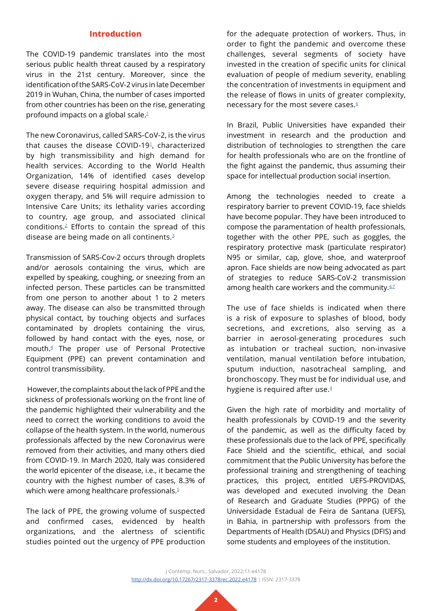### **Introduction**

The COVID-19 pandemic translates into the most serious public health threat caused by a respiratory virus in the 21st century. Moreover, since the identification of the SARS-CoV-2 virus in late December 2019 in Wuhan, China, the number of cases imported from other countries has been on the rise, generating profound impacts on a global scale.[1](#page-8-0)

The new Coronavirus, called SARS-CoV-2, is the virus that causes the disease COVID-1[91,](#page-8-0) characterized by high transmissibility and high demand for health services. According to the World Health Organization, 14% of identified cases develop severe disease requiring hospital admission and oxygen therapy, and 5% will require admission to Intensive Care Units; its lethality varies according to country, age group, and associated clinical conditions[.2](#page-8-1) Efforts to contain the spread of this disease are being made on all continents.[3](#page-8-2)

Transmission of SARS-Cov-2 occurs through droplets and/or aerosols containing the virus, which are expelled by speaking, coughing, or sneezing from an infected person. These particles can be transmitted from one person to another about 1 to 2 meters away. The disease can also be transmitted through physical contact, by touching objects and surfaces contaminated by droplets containing the virus, followed by hand contact with the eyes, nose, or mouth.[4](#page-8-3) The proper use of Personal Protective Equipment (PPE) can prevent contamination and control transmissibility.

 However, the complaints about the lack of PPE and the sickness of professionals working on the front line of the pandemic highlighted their vulnerability and the need to correct the working conditions to avoid the collapse of the health system. In the world, numerous professionals affected by the new Coronavirus were removed from their activities, and many others died from COVID-19. In March 2020, Italy was considered the world epicenter of the disease, i.e., it became the country with the highest number of cases, 8.3% of which were among healthcare professionals.<sup>[5](#page-8-4)</sup>

The lack of PPE, the growing volume of suspected and confirmed cases, evidenced by health organizations, and the alertness of scientific studies pointed out the urgency of PPE production for the adequate protection of workers. Thus, in order to fight the pandemic and overcome these challenges, several segments of society have invested in the creation of specific units for clinical evaluation of people of medium severity, enabling the concentration of investments in equipment and the release of flows in units of greater complexity, necessary for the most severe cases.<sup>6</sup>

In Brazil, Public Universities have expanded their investment in research and the production and distribution of technologies to strengthen the care for health professionals who are on the frontline of the fight against the pandemic, thus assuming their space for intellectual production social insertion.

Among the technologies needed to create a respiratory barrier to prevent COVID-19, face shields have become popular. They have been introduced to compose the paramentation of health professionals, together with the other PPE, such as goggles, the respiratory protective mask (particulate respirator) N95 or similar, cap, glove, shoe, and waterproof apron. Face shields are now being advocated as part of strategies to reduce SARS-CoV-2 transmission among health care workers and the community. $42$ 

The use of face shields is indicated when there is a risk of exposure to splashes of blood, body secretions, and excretions, also serving as a barrier in aerosol-generating procedures such as intubation or tracheal suction, non-invasive ventilation, manual ventilation before intubation, sputum induction, nasotracheal sampling, and bronchoscopy. They must be for individual use, and hygiene is required after use. $4$ 

Given the high rate of morbidity and mortality of health professionals by COVID-19 and the severity of the pandemic, as well as the difficulty faced by these professionals due to the lack of PPE, specifically Face Shield and the scientific, ethical, and social commitment that the Public University has before the professional training and strengthening of teaching practices, this project, entitled UEFS-PROVIDAS, was developed and executed involving the Dean of Research and Graduate Studies (PPPG) of the Universidade Estadual de Feira de Santana (UEFS), in Bahia, in partnership with professors from the Departments of Health (DSAU) and Physics (DFIS) and some students and employees of the institution.

J Contemp. Nurs., Salvador, 2022;11:e4178 [http://dx.doi.org/](http://dx.doi.org/10.17267/2317-3378rec.2022.e3942)10.17267/2317-3378rec.2022.e4178 | ISSN: 2317-3378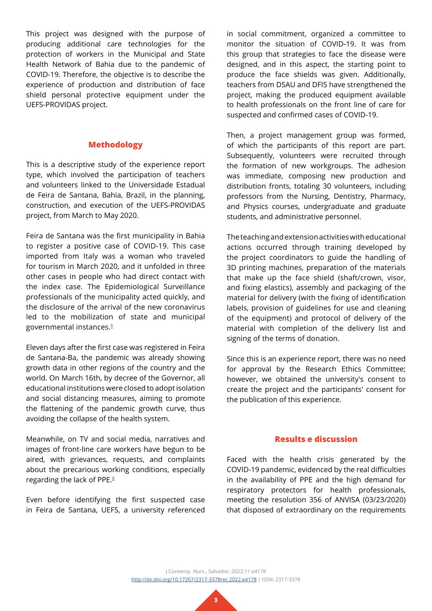This project was designed with the purpose of producing additional care technologies for the protection of workers in the Municipal and State Health Network of Bahia due to the pandemic of COVID-19. Therefore, the objective is to describe the experience of production and distribution of face shield personal protective equipment under the UEFS-PROVIDAS project.

### **Methodology**

This is a descriptive study of the experience report type, which involved the participation of teachers and volunteers linked to the Universidade Estadual de Feira de Santana, Bahia, Brazil, in the planning, construction, and execution of the UEFS-PROVIDAS project, from March to May 2020.

Feira de Santana was the first municipality in Bahia to register a positive case of COVID-19. This case imported from Italy was a woman who traveled for tourism in March 2020, and it unfolded in three other cases in people who had direct contact with the index case. The Epidemiological Surveillance professionals of the municipality acted quickly, and the disclosure of the arrival of the new coronavirus led to the mobilization of state and municipal governmental instances[.8](#page-8-7)

Eleven days after the first case was registered in Feira de Santana-Ba, the pandemic was already showing growth data in other regions of the country and the world. On March 16th, by decree of the Governor, all educational institutions were closed to adopt isolation and social distancing measures, aiming to promote the flattening of the pandemic growth curve, thus avoiding the collapse of the health system.

Meanwhile, on TV and social media, narratives and images of front-line care workers have begun to be aired, with grievances, requests, and complaints about the precarious working conditions, especially regarding the lack of PPE.<sup>[8](#page-8-7)</sup>

Even before identifying the first suspected case in Feira de Santana, UEFS, a university referenced

in social commitment, organized a committee to monitor the situation of COVID-19. It was from this group that strategies to face the disease were designed, and in this aspect, the starting point to produce the face shields was given. Additionally, teachers from DSAU and DFIS have strengthened the project, making the produced equipment available to health professionals on the front line of care for suspected and confirmed cases of COVID-19.

Then, a project management group was formed, of which the participants of this report are part. Subsequently, volunteers were recruited through the formation of new workgroups. The adhesion was immediate, composing new production and distribution fronts, totaling 30 volunteers, including professors from the Nursing, Dentistry, Pharmacy, and Physics courses, undergraduate and graduate students, and administrative personnel.

The teaching and extension activities with educational actions occurred through training developed by the project coordinators to guide the handling of 3D printing machines, preparation of the materials that make up the face shield (shaft/crown, visor, and fixing elastics), assembly and packaging of the material for delivery (with the fixing of identification labels, provision of guidelines for use and cleaning of the equipment) and protocol of delivery of the material with completion of the delivery list and signing of the terms of donation.

Since this is an experience report, there was no need for approval by the Research Ethics Committee; however, we obtained the university's consent to create the project and the participants' consent for the publication of this experience.

### **Results e discussion**

Faced with the health crisis generated by the COVID-19 pandemic, evidenced by the real difficulties in the availability of PPE and the high demand for respiratory protectors for health professionals, meeting the resolution 356 of ANVISA (03/23/2020) that disposed of extraordinary on the requirements

J Contemp. Nurs., Salvador, 2022;11:e4178 [http://dx.doi.org/](http://dx.doi.org/10.17267/2317-3378rec.2022.e3942)10.17267/2317-3378rec.2022.e4178 | ISSN: 2317-3378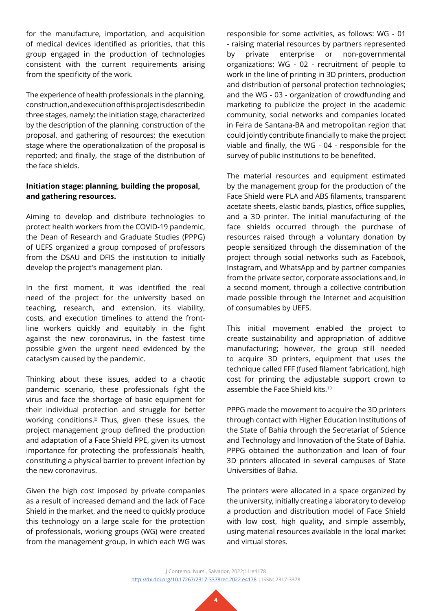for the manufacture, importation, and acquisition of medical devices identified as priorities, that this group engaged in the production of technologies consistent with the current requirements arising from the specificity of the work.

The experience of health professionals in the planning, construction, and execution of this project is described in three stages, namely: the initiation stage, characterized by the description of the planning, construction of the proposal, and gathering of resources; the execution stage where the operationalization of the proposal is reported; and finally, the stage of the distribution of the face shields.

## **Initiation stage: planning, building the proposal, and gathering resources.**

Aiming to develop and distribute technologies to protect health workers from the COVID-19 pandemic, the Dean of Research and Graduate Studies (PPPG) of UEFS organized a group composed of professors from the DSAU and DFIS the institution to initially develop the project's management plan.

In the first moment, it was identified the real need of the project for the university based on teaching, research, and extension, its viability, costs, and execution timelines to attend the frontline workers quickly and equitably in the fight against the new coronavirus, in the fastest time possible given the urgent need evidenced by the cataclysm caused by the pandemic.

Thinking about these issues, added to a chaotic pandemic scenario, these professionals fight the virus and face the shortage of basic equipment for their individual protection and struggle for better working conditions.<sup>9</sup> Thus, given these issues, the project management group defined the production and adaptation of a Face Shield PPE, given its utmost importance for protecting the professionals' health, constituting a physical barrier to prevent infection by the new coronavirus.

Given the high cost imposed by private companies as a result of increased demand and the lack of Face Shield in the market, and the need to quickly produce this technology on a large scale for the protection of professionals, working groups (WG) were created from the management group, in which each WG was

responsible for some activities, as follows: WG - 01 - raising material resources by partners represented by private enterprise or non-governmental organizations; WG - 02 - recruitment of people to work in the line of printing in 3D printers, production and distribution of personal protection technologies; and the WG - 03 - organization of crowdfunding and marketing to publicize the project in the academic community, social networks and companies located in Feira de Santana-BA and metropolitan region that could jointly contribute financially to make the project viable and finally, the WG - 04 - responsible for the survey of public institutions to be benefited.

The material resources and equipment estimated by the management group for the production of the Face Shield were PLA and ABS filaments, transparent acetate sheets, elastic bands, plastics, office supplies, and a 3D printer. The initial manufacturing of the face shields occurred through the purchase of resources raised through a voluntary donation by people sensitized through the dissemination of the project through social networks such as Facebook, Instagram, and WhatsApp and by partner companies from the private sector, corporate associations and, in a second moment, through a collective contribution made possible through the Internet and acquisition of consumables by UEFS.

This initial movement enabled the project to create sustainability and appropriation of additive manufacturing; however, the group still needed to acquire 3D printers, equipment that uses the technique called FFF (fused filament fabrication), high cost for printing the adjustable support crown to assemble the Face Shield kits.[10](#page-8-9)

PPPG made the movement to acquire the 3D printers through contact with Higher Education Institutions of the State of Bahia through the Secretariat of Science and Technology and Innovation of the State of Bahia. PPPG obtained the authorization and loan of four 3D printers allocated in several campuses of State Universities of Bahia.

The printers were allocated in a space organized by the university, initially creating a laboratory to develop a production and distribution model of Face Shield with low cost, high quality, and simple assembly, using material resources available in the local market and virtual stores.

J Contemp. Nurs., Salvador, 2022;11:e4178 [http://dx.doi.org/](http://dx.doi.org/10.17267/2317-3378rec.2022.e3942)10.17267/2317-3378rec.2022.e4178 | ISSN: 2317-3378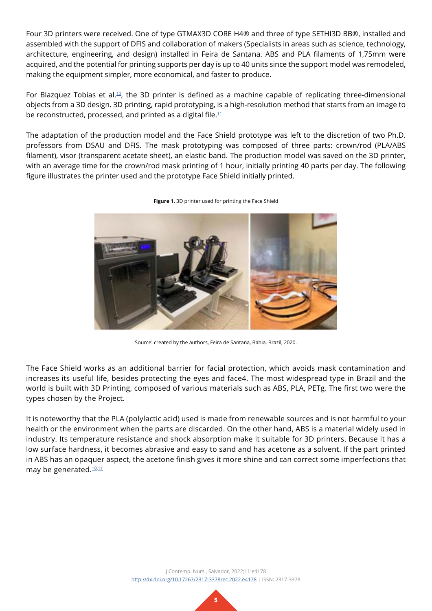Four 3D printers were received. One of type GTMAX3D CORE H4® and three of type SETHI3D BB®, installed and assembled with the support of DFIS and collaboration of makers (Specialists in areas such as science, technology, architecture, engineering, and design) installed in Feira de Santana. ABS and PLA filaments of 1,75mm were acquired, and the potential for printing supports per day is up to 40 units since the support model was remodeled, making the equipment simpler, more economical, and faster to produce.

For Blazquez Tobias et al.<sup>10</sup>, the 3D printer is defined as a machine capable of replicating three-dimensional objects from a 3D design. 3D printing, rapid prototyping, is a high-resolution method that starts from an image to be reconstructed, processed, and printed as a digital file. $11$ 

The adaptation of the production model and the Face Shield prototype was left to the discretion of two Ph.D. professors from DSAU and DFIS. The mask prototyping was composed of three parts: crown/rod (PLA/ABS filament), visor (transparent acetate sheet), an elastic band. The production model was saved on the 3D printer, with an average time for the crown/rod mask printing of 1 hour, initially printing 40 parts per day. The following figure illustrates the printer used and the prototype Face Shield initially printed.



**Figure 1.** 3D printer used for printing the Face Shield

Source: created by the authors, Feira de Santana, Bahia, Brazil, 2020.

The Face Shield works as an additional barrier for facial protection, which avoids mask contamination and increases its useful life, besides protecting the eyes and face4. The most widespread type in Brazil and the world is built with 3D Printing, composed of various materials such as ABS, PLA, PETg. The first two were the types chosen by the Project.

It is noteworthy that the PLA (polylactic acid) used is made from renewable sources and is not harmful to your health or the environment when the parts are discarded. On the other hand, ABS is a material widely used in industry. Its temperature resistance and shock absorption make it suitable for 3D printers. Because it has a low surface hardness, it becomes abrasive and easy to sand and has acetone as a solvent. If the part printed in ABS has an opaquer aspect, the acetone finish gives it more shine and can correct some imperfections that may be generated.<sup>[10,](#page-8-9)[11](#page-8-10)</sup>

> J Contemp. Nurs., Salvador, 2022;11:e4178 [http://dx.doi.org/](http://dx.doi.org/10.17267/2317-3378rec.2022.e3942)10.17267/2317-3378rec.2022.e4178 | ISSN: 2317-3378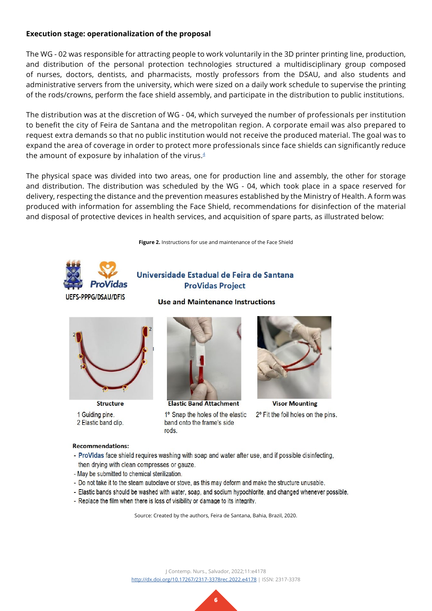## **Execution stage: operationalization of the proposal**

The WG - 02 was responsible for attracting people to work voluntarily in the 3D printer printing line, production, and distribution of the personal protection technologies structured a multidisciplinary group composed of nurses, doctors, dentists, and pharmacists, mostly professors from the DSAU, and also students and administrative servers from the university, which were sized on a daily work schedule to supervise the printing of the rods/crowns, perform the face shield assembly, and participate in the distribution to public institutions.

The distribution was at the discretion of WG - 04, which surveyed the number of professionals per institution to benefit the city of Feira de Santana and the metropolitan region. A corporate email was also prepared to request extra demands so that no public institution would not receive the produced material. The goal was to expand the area of coverage in order to protect more professionals since face shields can significantly reduce the amount of exposure by inhalation of the virus. $4$ 

The physical space was divided into two areas, one for production line and assembly, the other for storage and distribution. The distribution was scheduled by the WG - 04, which took place in a space reserved for delivery, respecting the distance and the prevention measures established by the Ministry of Health. A form was produced with information for assembling the Face Shield, recommendations for disinfection of the material and disposal of protective devices in health services, and acquisition of spare parts, as illustrated below:

**Figure 2.** Instructions for use and maintenance of the Face Shield



# Universidade Estadual de Feira de Santana **ProVidas Project**

**Use and Maintenance Instructions** 



**Structure** 1 Guiding pine. 2 Elastic band clip.



**Elastic Band Attachment** 

1º Snap the holes of the elastic band onto the frame's side **z**<sub>no</sub>



**Visor Mounting** 2° Fit the foil holes on the pins.

### **Recommendations:**

- ProVidas face shield requires washing with soap and water after use, and if possible disinfecting, then drying with clean compresses or gauze.
- May be submitted to chemical sterilization.
- Do not take it to the steam autoclave or stove, as this may deform and make the structure unusable.
- Elastic bands should be washed with water, soap, and sodium hypochlorite, and changed whenever possible.
- Replace the film when there is loss of visibility or damage to its integrity.

Source: Created by the authors, Feira de Santana, Bahia, Brazil, 2020.

J Contemp. Nurs., Salvador, 2022;11:e4178 [http://dx.doi.org/](http://dx.doi.org/10.17267/2317-3378rec.2022.e3942)10.17267/2317-3378rec.2022.e4178 | ISSN: 2317-3378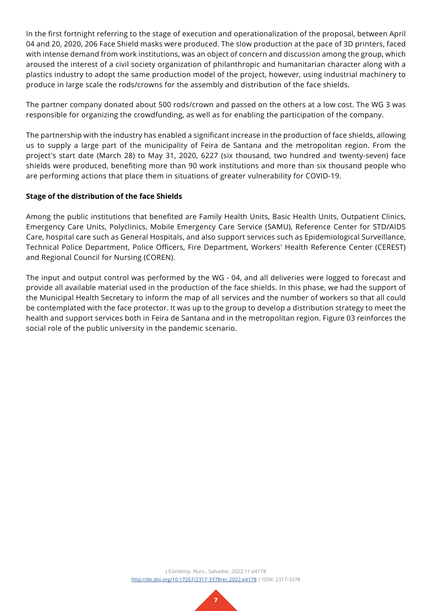In the first fortnight referring to the stage of execution and operationalization of the proposal, between April 04 and 20, 2020, 206 Face Shield masks were produced. The slow production at the pace of 3D printers, faced with intense demand from work institutions, was an object of concern and discussion among the group, which aroused the interest of a civil society organization of philanthropic and humanitarian character along with a plastics industry to adopt the same production model of the project, however, using industrial machinery to produce in large scale the rods/crowns for the assembly and distribution of the face shields.

The partner company donated about 500 rods/crown and passed on the others at a low cost. The WG 3 was responsible for organizing the crowdfunding, as well as for enabling the participation of the company.

The partnership with the industry has enabled a significant increase in the production of face shields, allowing us to supply a large part of the municipality of Feira de Santana and the metropolitan region. From the project's start date (March 28) to May 31, 2020, 6227 (six thousand, two hundred and twenty-seven) face shields were produced, benefiting more than 90 work institutions and more than six thousand people who are performing actions that place them in situations of greater vulnerability for COVID-19.

# **Stage of the distribution of the face Shields**

Among the public institutions that benefited are Family Health Units, Basic Health Units, Outpatient Clinics, Emergency Care Units, Polyclinics, Mobile Emergency Care Service (SAMU), Reference Center for STD/AIDS Care, hospital care such as General Hospitals, and also support services such as Epidemiological Surveillance, Technical Police Department, Police Officers, Fire Department, Workers' Health Reference Center (CEREST) and Regional Council for Nursing (COREN).

The input and output control was performed by the WG - 04, and all deliveries were logged to forecast and provide all available material used in the production of the face shields. In this phase, we had the support of the Municipal Health Secretary to inform the map of all services and the number of workers so that all could be contemplated with the face protector. It was up to the group to develop a distribution strategy to meet the health and support services both in Feira de Santana and in the metropolitan region. Figure 03 reinforces the social role of the public university in the pandemic scenario.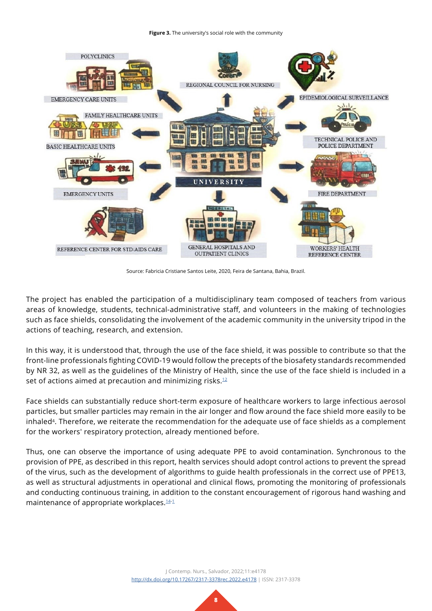**Figure 3.** The university's social role with the community



Source: Fabricia Cristiane Santos Leite, 2020, Feira de Santana, Bahia, Brazil.

The project has enabled the participation of a multidisciplinary team composed of teachers from various areas of knowledge, students, technical-administrative staff, and volunteers in the making of technologies such as face shields, consolidating the involvement of the academic community in the university tripod in the actions of teaching, research, and extension.

In this way, it is understood that, through the use of the face shield, it was possible to contribute so that the front-line professionals fighting COVID-19 would follow the precepts of the biosafety standards recommended by NR 32, as well as the guidelines of the Ministry of Health, since the use of the face shield is included in a set of actions aimed at precaution and minimizing risks.<sup>12</sup>

Face shields can substantially reduce short-term exposure of healthcare workers to large infectious aerosol particles, but smaller particles may remain in the air longer and flow around the face shield more easily to be inhaled<sup>4</sup>. Therefore, we reiterate the recommendation for the adequate use of face shields as a complement for the workers' respiratory protection, already mentioned before.

Thus, one can observe the importance of using adequate PPE to avoid contamination. Synchronous to the provision of PPE, as described in this report, health services should adopt control actions to prevent the spread of the virus, such as the development of algorithms to guide health professionals in the correct use of PPE13, as well as structural adjustments in operational and clinical flows, promoting the monitoring of professionals and conducting continuous training, in addition to the constant encouragement of rigorous hand washing and maintenance of appropriate workplaces.<sup>14[-1](#page-8-0)</sup>

> J Contemp. Nurs., Salvador, 2022;11:e4178 [http://dx.doi.org/](http://dx.doi.org/10.17267/2317-3378rec.2022.e3942)10.17267/2317-3378rec.2022.e4178 | ISSN: 2317-3378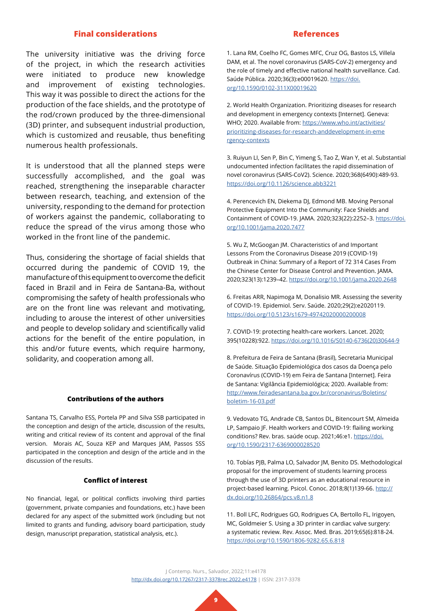### **Final considerations**

The university initiative was the driving force of the project, in which the research activities were initiated to produce new knowledge and improvement of existing technologies. This way it was possible to direct the actions for the production of the face shields, and the prototype of the rod/crown produced by the three-dimensional (3D) printer, and subsequent industrial production, which is customized and reusable, thus benefiting numerous health professionals.

It is understood that all the planned steps were successfully accomplished, and the goal was reached, strengthening the inseparable character between research, teaching, and extension of the university, responding to the demand for protection of workers against the pandemic, collaborating to reduce the spread of the virus among those who worked in the front line of the pandemic.

Thus, considering the shortage of facial shields that occurred during the pandemic of COVID 19, the manufacture of this equipment to overcome the deficit faced in Brazil and in Feira de Santana-Ba, without compromising the safety of health professionals who are on the front line was relevant and motivating, including to arouse the interest of other universities and people to develop solidary and scientifically valid actions for the benefit of the entire population, in this and/or future events, which require harmony, solidarity, and cooperation among all.

#### **Contributions of the authors**

Santana TS, Carvalho ESS, Portela PP and Silva SSB participated in the conception and design of the article, discussion of the results, writing and critical review of its content and approval of the final version. Morais AC, Souza KEP and Marques JAM, Passos SSS participated in the conception and design of the article and in the discussion of the results.

### **Conflict of interest**

No financial, legal, or political conflicts involving third parties (government, private companies and foundations, etc.) have been declared for any aspect of the submitted work (including but not limited to grants and funding, advisory board participation, study design, manuscript preparation, statistical analysis, etc.).

### **References**

<span id="page-8-0"></span>1. Lana RM, Coelho FC, Gomes MFC, Cruz OG, Bastos LS, Villela DAM, et al. The novel coronavirus (SARS-CoV-2) emergency and the role of timely and effective national health surveillance. Cad. Saúde Pública. 2020;36(3):e00019620. [https://doi.](https://www.scielo.br/j/csp/a/sHYgrSsxqKTZNK6rJVpRxQL/?lang=pt) [org/10.1590/0102-311X00019620](https://www.scielo.br/j/csp/a/sHYgrSsxqKTZNK6rJVpRxQL/?lang=pt)

<span id="page-8-1"></span>2. World Health Organization. Prioritizing diseases for research and development in emergency contexts [Internet]. Geneva: WHO; 2020. Available from: [https://www.who.int/activities/](https://www.who.int/activities/prioritizing-diseases-for-research-and-development-in-emergency-contexts) [prioritizing-diseases-for-research-anddevelopment-in-eme](https://www.who.int/activities/prioritizing-diseases-for-research-and-development-in-emergency-contexts) [rgency-contexts](https://www.who.int/activities/prioritizing-diseases-for-research-and-development-in-emergency-contexts)

<span id="page-8-2"></span>3. Ruiyun LI, Sen P, Bin C, Yimeng S, Tao Z, Wan Y, et al. Substantial undocumented infection facilitates the rapid dissemination of novel coronavirus (SARS-CoV2). Science. 2020;368(6490):489-93. [https://doi.org/10.1126/science.abb3221](https://www.science.org/doi/10.1126/science.abb3221)

<span id="page-8-3"></span>4. Perencevich EN, Diekema DJ, Edmond MB. Moving Personal Protective Equipment Into the Community: Face Shields and Containment of COVID-19. JAMA. 2020;323(22):2252–3. [https://doi.](https://jamanetwork.com/journals/jama/fullarticle/2765525) [org/10.1001/jama.2020.7477](https://jamanetwork.com/journals/jama/fullarticle/2765525)

<span id="page-8-4"></span>5. Wu Z, McGoogan JM. Characteristics of and Important Lessons From the Coronavirus Disease 2019 (COVID-19) Outbreak in China: Summary of a Report of 72 314 Cases From the Chinese Center for Disease Control and Prevention. JAMA. 2020;323(13):1239–42. [https://doi.org/10.1001/jama.2020.2648](https://jamanetwork.com/journals/jama/fullarticle/2762130)

<span id="page-8-5"></span>6. Freitas ARR, Napimoga M, Donalisio MR. Assessing the severity of COVID-19. Epidemiol. Serv. Saúde. 2020;29(2):e2020119. [https://doi.org/10.5123/s1679-49742020000200008](https://www.scielo.br/j/ress/a/TzjkrLwNj78YhV4Bkxg69zx/?lang=pt)

<span id="page-8-6"></span>7. COVID-19: protecting health-care workers. Lancet. 2020; 395(10228):922. [https://doi.org/10.1016/S0140-6736\(20\)30644-9](https://www.thelancet.com/journals/lancet/article/PIIS0140-6736(20)30644-9/fulltext)

<span id="page-8-7"></span>8. Prefeitura de Feira de Santana (Brasil), Secretaria Municipal de Saúde. Situação Epidemiológica dos casos da Doença pelo Coronavírus (COVID-19) em Feira de Santana [Internet]. Feira de Santana: Vigilância Epidemiológica; 2020. Available from: [http://www.feiradesantana.ba.gov.br/coronavirus/Boletins/](http://www.feiradesantana.ba.gov.br/coronavirus/Boletins/boletim-16-03.pdf) [boletim-16-03.pdf](http://www.feiradesantana.ba.gov.br/coronavirus/Boletins/boletim-16-03.pdf)

<span id="page-8-8"></span>9. Vedovato TG, Andrade CB, Santos DL, Bitencourt SM, Almeida LP, Sampaio JF. Health workers and COVID-19: flailing working conditions? Rev. bras. saúde ocup. 2021;46:e1. [https://doi.](https://www.scielo.br/j/rbso/a/CHvhLDtkH8WPmSygjHZgzNw/?lang=pt) [org/10.1590/2317-6369000028520](https://www.scielo.br/j/rbso/a/CHvhLDtkH8WPmSygjHZgzNw/?lang=pt)

<span id="page-8-9"></span>10. Tobías PJB, Palma LO, Salvador JM, Benito DS. Methodological proposal for the improvement of students learning process through the use of 3D printers as an educational resource in project-based learning. Psicol. Conoc. 2018;8(1)139-66. [http://](https://revista.psico.edu.uy/index.php/revpsicologia/article/view/419/354) [dx.doi.org/10.26864/pcs.v8.n1.8](https://revista.psico.edu.uy/index.php/revpsicologia/article/view/419/354)

<span id="page-8-10"></span>11. Boll LFC, Rodrigues GO, Rodrigues CA, Bertollo FL, Irigoyen, MC, Goldmeier S. Using a 3D printer in cardiac valve surgery: a systematic review. Rev. Assoc. Med. Bras. 2019;65(6):818-24. [https://doi.org/10.1590/1806-9282.65.6.818](https://www.scielo.br/j/ramb/a/cw4LsLHT7Lc5B7FGgQtDXCD/?lang=en)

J Contemp. Nurs., Salvador, 2022;11:e4178 [http://dx.doi.org/](http://dx.doi.org/10.17267/2317-3378rec.2022.e3942)10.17267/2317-3378rec.2022.e4178 | ISSN: 2317-3378